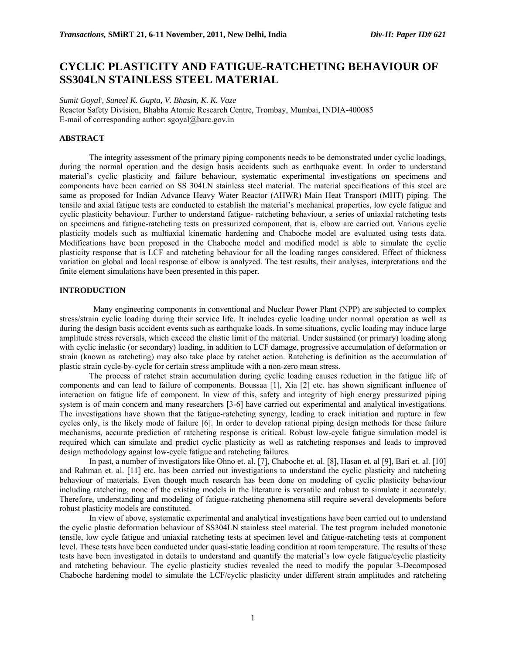# **CYCLIC PLASTICITY AND FATIGUE-RATCHETING BEHAVIOUR OF SS304LN STAINLESS STEEL MATERIAL**

*Sumit Goyal, , Suneel K. Gupta, V. Bhasin, K. K. Vaze*  Reactor Safety Division, Bhabha Atomic Research Centre, Trombay, Mumbai, INDIA-400085 E-mail of corresponding author:  $sgoval@bare.gov.in$ 

## **ABSTRACT**

The integrity assessment of the primary piping components needs to be demonstrated under cyclic loadings, during the normal operation and the design basis accidents such as earthquake event. In order to understand material's cyclic plasticity and failure behaviour, systematic experimental investigations on specimens and components have been carried on SS 304LN stainless steel material. The material specifications of this steel are same as proposed for Indian Advance Heavy Water Reactor (AHWR) Main Heat Transport (MHT) piping. The tensile and axial fatigue tests are conducted to establish the material's mechanical properties, low cycle fatigue and cyclic plasticity behaviour. Further to understand fatigue- ratcheting behaviour, a series of uniaxial ratcheting tests on specimens and fatigue-ratcheting tests on pressurized component, that is, elbow are carried out. Various cyclic plasticity models such as multiaxial kinematic hardening and Chaboche model are evaluated using tests data. Modifications have been proposed in the Chaboche model and modified model is able to simulate the cyclic plasticity response that is LCF and ratcheting behaviour for all the loading ranges considered. Effect of thickness variation on global and local response of elbow is analyzed. The test results, their analyses, interpretations and the finite element simulations have been presented in this paper.

#### **INTRODUCTION**

 Many engineering components in conventional and Nuclear Power Plant (NPP) are subjected to complex stress/strain cyclic loading during their service life. It includes cyclic loading under normal operation as well as during the design basis accident events such as earthquake loads. In some situations, cyclic loading may induce large amplitude stress reversals, which exceed the elastic limit of the material. Under sustained (or primary) loading along with cyclic inelastic (or secondary) loading, in addition to LCF damage, progressive accumulation of deformation or strain (known as ratcheting) may also take place by ratchet action. Ratcheting is definition as the accumulation of plastic strain cycle-by-cycle for certain stress amplitude with a non-zero mean stress.

The process of ratchet strain accumulation during cyclic loading causes reduction in the fatigue life of components and can lead to failure of components. Boussaa [1], Xia [2] etc. has shown significant influence of interaction on fatigue life of component. In view of this, safety and integrity of high energy pressurized piping system is of main concern and many researchers [3-6] have carried out experimental and analytical investigations. The investigations have shown that the fatigue-ratcheting synergy, leading to crack initiation and rupture in few cycles only, is the likely mode of failure [6]. In order to develop rational piping design methods for these failure mechanisms, accurate prediction of ratcheting response is critical. Robust low-cycle fatigue simulation model is required which can simulate and predict cyclic plasticity as well as ratcheting responses and leads to improved design methodology against low-cycle fatigue and ratcheting failures.

In past, a number of investigators like Ohno et. al. [7], Chaboche et. al. [8], Hasan et. al [9], Bari et. al. [10] and Rahman et. al. [11] etc. has been carried out investigations to understand the cyclic plasticity and ratcheting behaviour of materials. Even though much research has been done on modeling of cyclic plasticity behaviour including ratcheting, none of the existing models in the literature is versatile and robust to simulate it accurately. Therefore, understanding and modeling of fatigue-ratcheting phenomena still require several developments before robust plasticity models are constituted.

In view of above, systematic experimental and analytical investigations have been carried out to understand the cyclic plastic deformation behaviour of SS304LN stainless steel material. The test program included monotonic tensile, low cycle fatigue and uniaxial ratcheting tests at specimen level and fatigue-ratcheting tests at component level. These tests have been conducted under quasi-static loading condition at room temperature. The results of these tests have been investigated in details to understand and quantify the material's low cycle fatigue/cyclic plasticity and ratcheting behaviour. The cyclic plasticity studies revealed the need to modify the popular 3-Decomposed Chaboche hardening model to simulate the LCF/cyclic plasticity under different strain amplitudes and ratcheting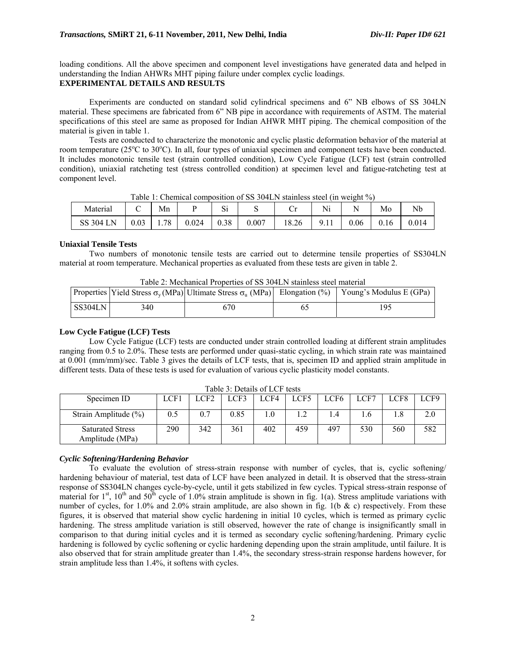loading conditions. All the above specimen and component level investigations have generated data and helped in understanding the Indian AHWRs MHT piping failure under complex cyclic loadings. **EXPERIMENTAL DETAILS AND RESULTS** 

Experiments are conducted on standard solid cylindrical specimens and 6" NB elbows of SS 304LN material. These specimens are fabricated from 6" NB pipe in accordance with requirements of ASTM. The material specifications of this steel are same as proposed for Indian AHWR MHT piping. The chemical composition of the material is given in table 1.

Tests are conducted to characterize the monotonic and cyclic plastic deformation behavior of the material at room temperature (25°C to 30°C). In all, four types of uniaxial specimen and component tests have been conducted. It includes monotonic tensile test (strain controlled condition), Low Cycle Fatigue (LCF) test (strain controlled condition), uniaxial ratcheting test (stress controlled condition) at specimen level and fatigue-ratcheting test at component level.

| Material         |          | Mn |       | $\sim \cdot$<br>ιυ |           | ◡⊥    | Ni |      | Mo   | Nb    |
|------------------|----------|----|-------|--------------------|-----------|-------|----|------|------|-------|
| <b>SS 304 LN</b> | $0.03\,$ | 78 | 0.024 | 0.38               | $0.007\,$ | 18.26 | -u | 0.06 | 0.16 | 0.014 |

Table 1: Chemical composition of SS 304LN stainless steel (in weight %)

#### **Uniaxial Tensile Tests**

Two numbers of monotonic tensile tests are carried out to determine tensile properties of SS304LN material at room temperature. Mechanical properties as evaluated from these tests are given in table 2.

| I avie 2. Mechanical Properties of SS 504LIN stanness steel material |     |     |  |                                                                                                                    |  |  |  |  |
|----------------------------------------------------------------------|-----|-----|--|--------------------------------------------------------------------------------------------------------------------|--|--|--|--|
|                                                                      |     |     |  | Properties   Yield Stress $\sigma_v(MPa)$ Ultimate Stress $\sigma_u(MPa)$ Elongation (%)   Young's Modulus E (GPa) |  |  |  |  |
| SS304LN                                                              | 340 | 670 |  | ۱Q۰                                                                                                                |  |  |  |  |

Table 2: Mechanical Properties of SS 304LN stainless steel material

# **Low Cycle Fatigue (LCF) Tests**

Low Cycle Fatigue (LCF) tests are conducted under strain controlled loading at different strain amplitudes ranging from 0.5 to 2.0%. These tests are performed under quasi-static cycling, in which strain rate was maintained at 0.001 (mm/mm)/sec. Table 3 gives the details of LCF tests, that is, specimen ID and applied strain amplitude in different tests. Data of these tests is used for evaluation of various cyclic plasticity model constants.

| Specimen ID                                | $\cap$ F1 | LCF2 | ר רוד | LCF4 | LCF5 | LCF6 | CT  | LCF8 | LCF9 |
|--------------------------------------------|-----------|------|-------|------|------|------|-----|------|------|
| Strain Amplitude $(\% )$                   | 0.5       | 0.7  | 0.85  |      |      |      |     | 1.8  | 2.0  |
| <b>Saturated Stress</b><br>Amplitude (MPa) | 290       | 342  | 361   | 402  | 459  | 497  | 530 | 560  | 582  |

Table 3: Details of LCF tests

# *Cyclic Softening/Hardening Behavior*

To evaluate the evolution of stress-strain response with number of cycles, that is, cyclic softening/ hardening behaviour of material, test data of LCF have been analyzed in detail. It is observed that the stress-strain response of SS304LN changes cycle-by-cycle, until it gets stabilized in few cycles. Typical stress-strain response of material for 1<sup>st</sup>, 10<sup>th</sup> and 50<sup>th</sup> cycle of 1.0% strain amplitude is shown in fig. 1(a). Stress amplitude variations with number of cycles, for 1.0% and 2.0% strain amplitude, are also shown in fig. 1(b & c) respectively. From these figures, it is observed that material show cyclic hardening in initial 10 cycles, which is termed as primary cyclic hardening. The stress amplitude variation is still observed, however the rate of change is insignificantly small in comparison to that during initial cycles and it is termed as secondary cyclic softening/hardening. Primary cyclic hardening is followed by cyclic softening or cyclic hardening depending upon the strain amplitude, until failure. It is also observed that for strain amplitude greater than 1.4%, the secondary stress-strain response hardens however, for strain amplitude less than 1.4%, it softens with cycles.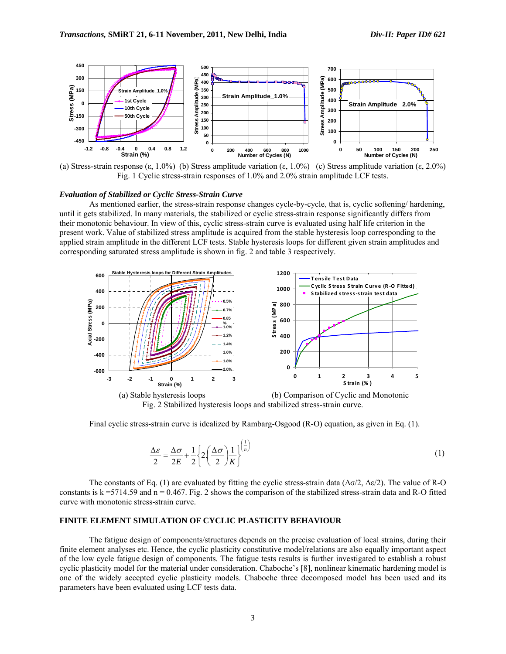

(a) Stress-strain response (ε, 1.0%) (b) Stress amplitude variation (ε, 1.0%) (c) Stress amplitude variation (ε, 2.0%) Fig. 1 Cyclic stress-strain responses of 1.0% and 2.0% strain amplitude LCF tests.

### *Evaluation of Stabilized or Cyclic Stress-Strain Curve*

As mentioned earlier, the stress-strain response changes cycle-by-cycle, that is, cyclic softening/ hardening, until it gets stabilized. In many materials, the stabilized or cyclic stress-strain response significantly differs from their monotonic behaviour. In view of this, cyclic stress-strain curve is evaluated using half life criterion in the present work. Value of stabilized stress amplitude is acquired from the stable hysteresis loop corresponding to the applied strain amplitude in the different LCF tests. Stable hysteresis loops for different given strain amplitudes and corresponding saturated stress amplitude is shown in fig. 2 and table 3 respectively.



(a) Stable hysteresis loops (b) Comparison of Cyclic and Monotonic Fig. 2 Stabilized hysteresis loops and stabilized stress-strain curve.

Final cyclic stress-strain curve is idealized by Rambarg-Osgood (R-O) equation, as given in Eq. (1).

$$
\frac{\Delta \varepsilon}{2} = \frac{\Delta \sigma}{2E} + \frac{1}{2} \left\{ 2 \left( \frac{\Delta \sigma}{2} \right) \frac{1}{K} \right\}^{\left(\frac{1}{n}\right)} \tag{1}
$$

The constants of Eq. (1) are evaluated by fitting the cyclic stress-strain data ( $\Delta \sigma/2$ ,  $\Delta \epsilon/2$ ). The value of R-O constants is  $k = 5714.59$  and  $n = 0.467$ . Fig. 2 shows the comparison of the stabilized stress-strain data and R-O fitted curve with monotonic stress-strain curve.

## **FINITE ELEMENT SIMULATION OF CYCLIC PLASTICITY BEHAVIOUR**

The fatigue design of components/structures depends on the precise evaluation of local strains, during their finite element analyses etc. Hence, the cyclic plasticity constitutive model/relations are also equally important aspect of the low cycle fatigue design of components. The fatigue tests results is further investigated to establish a robust cyclic plasticity model for the material under consideration. Chaboche's [8], nonlinear kinematic hardening model is one of the widely accepted cyclic plasticity models. Chaboche three decomposed model has been used and its parameters have been evaluated using LCF tests data.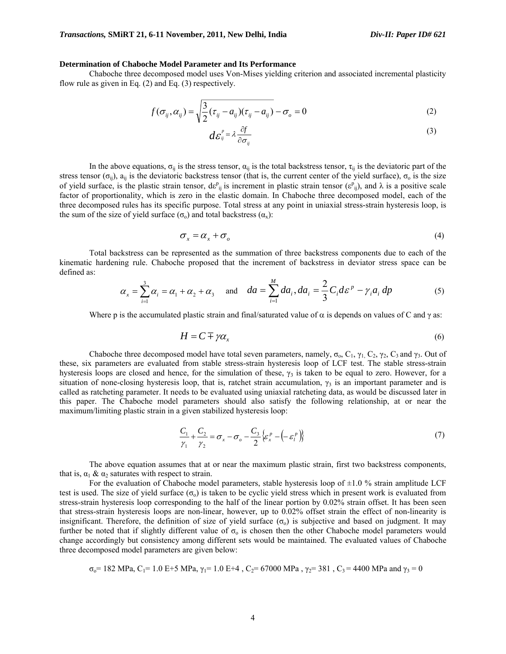## **Determination of Chaboche Model Parameter and Its Performance**

Chaboche three decomposed model uses Von-Mises yielding criterion and associated incremental plasticity flow rule as given in Eq. (2) and Eq. (3) respectively.

$$
f(\sigma_{ij}, \alpha_{ij}) = \sqrt{\frac{3}{2}(\tau_{ij} - a_{ij})(\tau_{ij} - a_{ij})} - \sigma_o = 0
$$
\n(2)

$$
d\varepsilon_{ij}^{\nu} = \lambda \frac{\partial f}{\partial \sigma_{ij}} \tag{3}
$$

In the above equations,  $\sigma_{ij}$  is the stress tensor,  $\alpha_{ij}$  is the total backstress tensor,  $\tau_{ij}$  is the deviatoric part of the stress tensor ( $\sigma_{ii}$ ),  $a_{ii}$  is the deviatoric backstress tensor (that is, the current center of the yield surface),  $\sigma_0$  is the size of yield surface, is the plastic strain tensor, de<sup>p</sup><sub>ij</sub> is increment in plastic strain tensor ( $\varepsilon_{ij}^p$ ), and  $\lambda$  is a positive scale factor of proportionality, which is zero in the elastic domain. In Chaboche three decomposed model, each of the three decomposed rules has its specific purpose. Total stress at any point in uniaxial stress-strain hysteresis loop, is the sum of the size of yield surface  $(\sigma_0)$  and total backstress  $(\alpha_x)$ :

$$
\sigma_x = \alpha_x + \sigma_o \tag{4}
$$

Total backstress can be represented as the summation of three backstress components due to each of the kinematic hardening rule. Chaboche proposed that the increment of backstress in deviator stress space can be defined as:

$$
\alpha_x = \sum_{i=1}^3 \alpha_i = \alpha_1 + \alpha_2 + \alpha_3 \quad \text{and} \quad da = \sum_{i=1}^M da_i, da_i = \frac{2}{3} C_i d\varepsilon^p - \gamma_i a_i dp \tag{5}
$$

Where p is the accumulated plastic strain and final/saturated value of  $\alpha$  is depends on values of C and  $\gamma$  as:

$$
H = C \mp \gamma \alpha_x \tag{6}
$$

Chaboche three decomposed model have total seven parameters, namely,  $\sigma_0$ ,  $C_1$ ,  $\gamma_1$ ,  $C_2$ ,  $\gamma_2$ ,  $C_3$  and  $\gamma_3$ . Out of these, six parameters are evaluated from stable stress-strain hysteresis loop of LCF test. The stable stress-strain hysteresis loops are closed and hence, for the simulation of these,  $\gamma_3$  is taken to be equal to zero. However, for a situation of none-closing hysteresis loop, that is, ratchet strain accumulation,  $\gamma_3$  is an important parameter and is called as ratcheting parameter. It needs to be evaluated using uniaxial ratcheting data, as would be discussed later in this paper. The Chaboche model parameters should also satisfy the following relationship, at or near the maximum/limiting plastic strain in a given stabilized hysteresis loop:

$$
\frac{C_1}{\gamma_1} + \frac{C_2}{\gamma_2} = \sigma_x - \sigma_o - \frac{C_3}{2} \left\{ \varepsilon_x^p - \left( -\varepsilon_t^p \right) \right\} \tag{7}
$$

The above equation assumes that at or near the maximum plastic strain, first two backstress components, that is,  $\alpha_1 \& \alpha_2$  saturates with respect to strain.

For the evaluation of Chaboche model parameters, stable hysteresis loop of  $\pm 1.0$  % strain amplitude LCF test is used. The size of yield surface  $(\sigma_0)$  is taken to be cyclic yield stress which in present work is evaluated from stress-strain hysteresis loop corresponding to the half of the linear portion by 0.02% strain offset. It has been seen that stress-strain hysteresis loops are non-linear, however, up to 0.02% offset strain the effect of non-linearity is insignificant. Therefore, the definition of size of yield surface  $(\sigma_0)$  is subjective and based on judgment. It may further be noted that if slightly different value of  $\sigma_0$  is chosen then the other Chaboche model parameters would change accordingly but consistency among different sets would be maintained. The evaluated values of Chaboche three decomposed model parameters are given below:

$$
\sigma_0
$$
= 182 MPa, C<sub>1</sub>= 1.0 E+5 MPa,  $\gamma_1$ = 1.0 E+4, C<sub>2</sub>= 67000 MPa,  $\gamma_2$ = 381, C<sub>3</sub>= 4400 MPa and  $\gamma_3$  = 0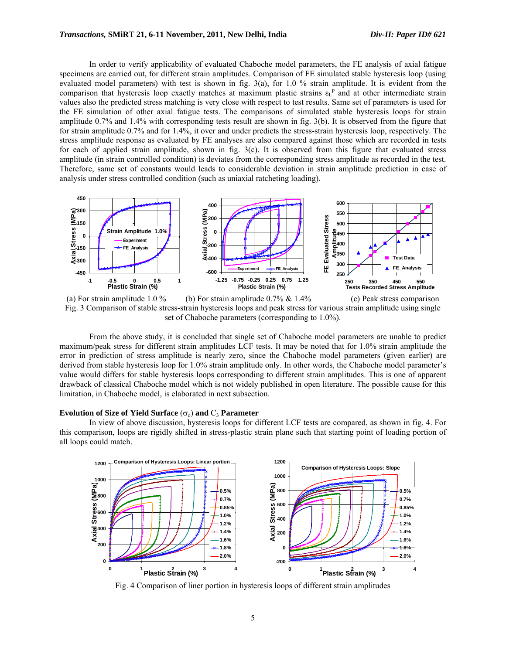In order to verify applicability of evaluated Chaboche model parameters, the FE analysis of axial fatigue specimens are carried out, for different strain amplitudes. Comparison of FE simulated stable hysteresis loop (using evaluated model parameters) with test is shown in fig. 3(a), for 1.0 % strain amplitude. It is evident from the comparison that hysteresis loop exactly matches at maximum plastic strains  $\varepsilon_L^p$  and at other intermediate strain values also the predicted stress matching is very close with respect to test results. Same set of parameters is used for the FE simulation of other axial fatigue tests. The comparisons of simulated stable hysteresis loops for strain amplitude 0.7% and 1.4% with corresponding tests result are shown in fig. 3(b). It is observed from the figure that for strain amplitude 0.7% and for 1.4%, it over and under predicts the stress-strain hysteresis loop, respectively. The stress amplitude response as evaluated by FE analyses are also compared against those which are recorded in tests for each of applied strain amplitude, shown in fig. 3(c). It is observed from this figure that evaluated stress amplitude (in strain controlled condition) is deviates from the corresponding stress amplitude as recorded in the test. Therefore, same set of constants would leads to considerable deviation in strain amplitude prediction in case of analysis under stress controlled condition (such as uniaxial ratcheting loading).



Fig. 3 Comparison of stable stress-strain hysteresis loops and peak stress for various strain amplitude using single set of Chaboche parameters (corresponding to 1.0%).

From the above study, it is concluded that single set of Chaboche model parameters are unable to predict maximum/peak stress for different strain amplitudes LCF tests. It may be noted that for 1.0% strain amplitude the error in prediction of stress amplitude is nearly zero, since the Chaboche model parameters (given earlier) are derived from stable hysteresis loop for 1.0% strain amplitude only. In other words, the Chaboche model parameter's value would differs for stable hysteresis loops corresponding to different strain amplitudes. This is one of apparent drawback of classical Chaboche model which is not widely published in open literature. The possible cause for this limitation, in Chaboche model, is elaborated in next subsection.

#### **Evolution of Size of Yield Surface**  $(\sigma_0)$  **and**  $C_3$  **Parameter**

In view of above discussion, hysteresis loops for different LCF tests are compared, as shown in fig. 4. For this comparison, loops are rigidly shifted in stress-plastic strain plane such that starting point of loading portion of all loops could match.



Fig. 4 Comparison of liner portion in hysteresis loops of different strain amplitudes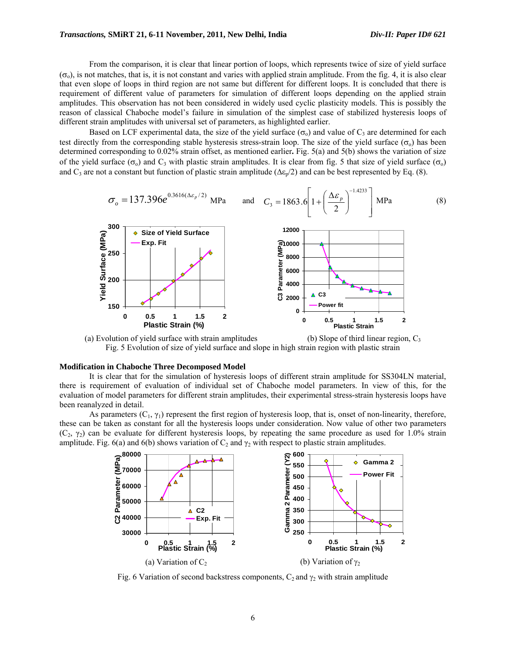From the comparison, it is clear that linear portion of loops, which represents twice of size of yield surface  $(\sigma_0)$ , is not matches, that is, it is not constant and varies with applied strain amplitude. From the fig. 4, it is also clear that even slope of loops in third region are not same but different for different loops. It is concluded that there is requirement of different value of parameters for simulation of different loops depending on the applied strain amplitudes. This observation has not been considered in widely used cyclic plasticity models. This is possibly the reason of classical Chaboche model's failure in simulation of the simplest case of stabilized hysteresis loops of different strain amplitudes with universal set of parameters, as highlighted earlier.

Based on LCF experimental data, the size of the yield surface  $(\sigma_0)$  and value of C<sub>3</sub> are determined for each test directly from the corresponding stable hysteresis stress-strain loop. The size of the yield surface ( $\sigma_0$ ) has been determined corresponding to 0.02% strain offset, as mentioned earlier**.** Fig. 5(a) and 5(b) shows the variation of size of the yield surface ( $\sigma_0$ ) and C<sub>3</sub> with plastic strain amplitudes. It is clear from fig. 5 that size of yield surface ( $\sigma_0$ ) and  $C_3$  are not a constant but function of plastic strain amplitude ( $\Delta \epsilon_n/2$ ) and can be best represented by Eq. (8).



(a) Evolution of yield surface with strain amplitudes (b) Slope of third linear region,  $C_3$ Fig. 5 Evolution of size of yield surface and slope in high strain region with plastic strain

#### **Modification in Chaboche Three Decomposed Model**

It is clear that for the simulation of hysteresis loops of different strain amplitude for SS304LN material, there is requirement of evaluation of individual set of Chaboche model parameters. In view of this, for the evaluation of model parameters for different strain amplitudes, their experimental stress-strain hysteresis loops have been reanalyzed in detail.

As parameters  $(C_1, \gamma_1)$  represent the first region of hysteresis loop, that is, onset of non-linearity, therefore, these can be taken as constant for all the hysteresis loops under consideration. Now value of other two parameters  $(C_2, \gamma_2)$  can be evaluate for different hysteresis loops, by repeating the same procedure as used for 1.0% strain amplitude. Fig. 6(a) and 6(b) shows variation of  $C_2$  and  $\gamma_2$  with respect to plastic strain amplitudes.



Fig. 6 Variation of second backstress components,  $C_2$  and  $\gamma_2$  with strain amplitude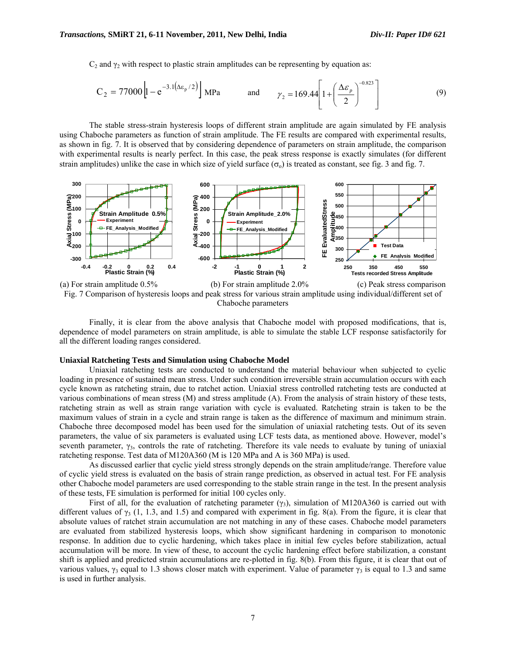$C_2$  and  $\gamma_2$  with respect to plastic strain amplitudes can be representing by equation as:

$$
C_2 = 77000 \left[ 1 - e^{-3.1(\Delta \epsilon_p/2)} \right]
$$
 MPa and  $\gamma_2 = 169.44 \left[ 1 + \left( \frac{\Delta \epsilon_p}{2} \right)^{-0.823} \right]$  (9)

The stable stress-strain hysteresis loops of different strain amplitude are again simulated by FE analysis using Chaboche parameters as function of strain amplitude. The FE results are compared with experimental results, as shown in fig. 7. It is observed that by considering dependence of parameters on strain amplitude, the comparison with experimental results is nearly perfect. In this case, the peak stress response is exactly simulates (for different strain amplitudes) unlike the case in which size of yield surface  $(\sigma_0)$  is treated as constant, see fig. 3 and fig. 7.



Fig. 7 Comparison of hysteresis loops and peak stress for various strain amplitude using individual/different set of Chaboche parameters

Finally, it is clear from the above analysis that Chaboche model with proposed modifications, that is, dependence of model parameters on strain amplitude, is able to simulate the stable LCF response satisfactorily for all the different loading ranges considered.

#### **Uniaxial Ratcheting Tests and Simulation using Chaboche Model**

Uniaxial ratcheting tests are conducted to understand the material behaviour when subjected to cyclic loading in presence of sustained mean stress. Under such condition irreversible strain accumulation occurs with each cycle known as ratcheting strain, due to ratchet action. Uniaxial stress controlled ratcheting tests are conducted at various combinations of mean stress (M) and stress amplitude (A). From the analysis of strain history of these tests, ratcheting strain as well as strain range variation with cycle is evaluated. Ratcheting strain is taken to be the maximum values of strain in a cycle and strain range is taken as the difference of maximum and minimum strain. Chaboche three decomposed model has been used for the simulation of uniaxial ratcheting tests. Out of its seven parameters, the value of six parameters is evaluated using LCF tests data, as mentioned above. However, model's seventh parameter,  $\gamma_3$ , controls the rate of ratcheting. Therefore its vale needs to evaluate by tuning of uniaxial ratcheting response. Test data of M120A360 (M is 120 MPa and A is 360 MPa) is used.

As discussed earlier that cyclic yield stress strongly depends on the strain amplitude/range. Therefore value of cyclic yield stress is evaluated on the basis of strain range prediction, as observed in actual test. For FE analysis other Chaboche model parameters are used corresponding to the stable strain range in the test. In the present analysis of these tests, FE simulation is performed for initial 100 cycles only.

First of all, for the evaluation of ratcheting parameter  $(\gamma_3)$ , simulation of M120A360 is carried out with different values of  $\gamma_3$  (1, 1.3, and 1.5) and compared with experiment in fig. 8(a). From the figure, it is clear that absolute values of ratchet strain accumulation are not matching in any of these cases. Chaboche model parameters are evaluated from stabilized hysteresis loops, which show significant hardening in comparison to monotonic response. In addition due to cyclic hardening, which takes place in initial few cycles before stabilization, actual accumulation will be more. In view of these, to account the cyclic hardening effect before stabilization, a constant shift is applied and predicted strain accumulations are re-plotted in fig. 8(b). From this figure, it is clear that out of various values,  $\gamma_3$  equal to 1.3 shows closer match with experiment. Value of parameter  $\gamma_3$  is equal to 1.3 and same is used in further analysis.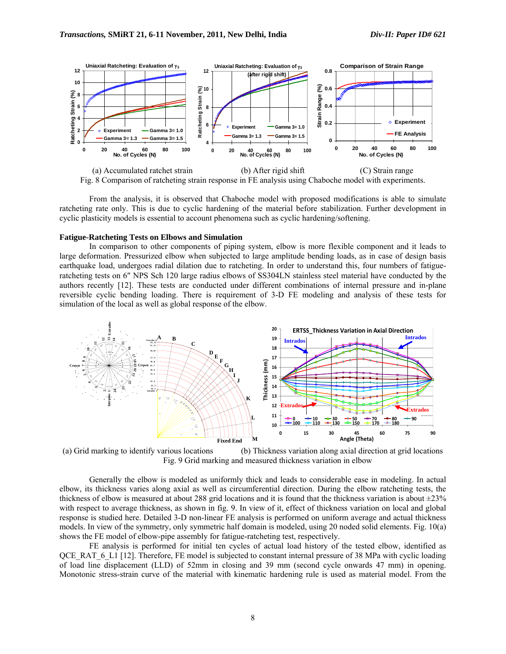

From the analysis, it is observed that Chaboche model with proposed modifications is able to simulate ratcheting rate only. This is due to cyclic hardening of the material before stabilization. Further development in cyclic plasticity models is essential to account phenomena such as cyclic hardening/softening.

#### **Fatigue-Ratcheting Tests on Elbows and Simulation**

In comparison to other components of piping system, elbow is more flexible component and it leads to large deformation. Pressurized elbow when subjected to large amplitude bending loads, as in case of design basis earthquake load, undergoes radial dilation due to ratcheting. In order to understand this, four numbers of fatigueratcheting tests on 6″ NPS Sch 120 large radius elbows of SS304LN stainless steel material have conducted by the authors recently [12]. These tests are conducted under different combinations of internal pressure and in-plane reversible cyclic bending loading. There is requirement of 3-D FE modeling and analysis of these tests for simulation of the local as well as global response of the elbow.



(a) Grid marking to identify various locations (b) Thickness variation along axial direction at grid locations Fig. 9 Grid marking and measured thickness variation in elbow

Generally the elbow is modeled as uniformly thick and leads to considerable ease in modeling. In actual elbow, its thickness varies along axial as well as circumferential direction. During the elbow ratcheting tests, the thickness of elbow is measured at about 288 grid locations and it is found that the thickness variation is about  $\pm$ 23% with respect to average thickness, as shown in fig. 9. In view of it, effect of thickness variation on local and global response is studied here. Detailed 3-D non-linear FE analysis is performed on uniform average and actual thickness models. In view of the symmetry, only symmetric half domain is modeled, using 20 noded solid elements. Fig. 10(a) shows the FE model of elbow-pipe assembly for fatigue-ratcheting test, respectively.

FE analysis is performed for initial ten cycles of actual load history of the tested elbow, identified as QCE\_RAT\_6\_L1 [12]. Therefore, FE model is subjected to constant internal pressure of 38 MPa with cyclic loading of load line displacement (LLD) of 52mm in closing and 39 mm (second cycle onwards 47 mm) in opening. Monotonic stress-strain curve of the material with kinematic hardening rule is used as material model. From the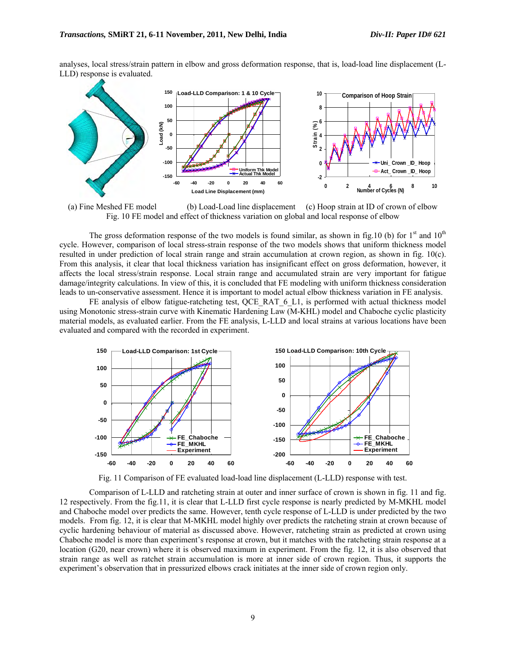analyses, local stress/strain pattern in elbow and gross deformation response, that is, load-load line displacement (L-LLD) response is evaluated.



(a) Fine Meshed FE model (b) Load-Load line displacement (c) Hoop strain at ID of crown of elbow Fig. 10 FE model and effect of thickness variation on global and local response of elbow

The gross deformation response of the two models is found similar, as shown in fig.10 (b) for  $1<sup>st</sup>$  and  $10<sup>th</sup>$ cycle. However, comparison of local stress-strain response of the two models shows that uniform thickness model resulted in under prediction of local strain range and strain accumulation at crown region, as shown in fig. 10(c). From this analysis, it clear that local thickness variation has insignificant effect on gross deformation, however, it affects the local stress/strain response. Local strain range and accumulated strain are very important for fatigue damage/integrity calculations. In view of this, it is concluded that FE modeling with uniform thickness consideration leads to un-conservative assessment. Hence it is important to model actual elbow thickness variation in FE analysis.

FE analysis of elbow fatigue-ratcheting test, QCE\_RAT\_6\_L1, is performed with actual thickness model using Monotonic stress-strain curve with Kinematic Hardening Law (M-KHL) model and Chaboche cyclic plasticity material models, as evaluated earlier. From the FE analysis, L-LLD and local strains at various locations have been evaluated and compared with the recorded in experiment.



Fig. 11 Comparison of FE evaluated load-load line displacement (L-LLD) response with test.

Comparison of L-LLD and ratcheting strain at outer and inner surface of crown is shown in fig. 11 and fig. 12 respectively. From the fig.11, it is clear that L-LLD first cycle response is nearly predicted by M-MKHL model and Chaboche model over predicts the same. However, tenth cycle response of L-LLD is under predicted by the two models. From fig. 12, it is clear that M-MKHL model highly over predicts the ratcheting strain at crown because of cyclic hardening behaviour of material as discussed above. However, ratcheting strain as predicted at crown using Chaboche model is more than experiment's response at crown, but it matches with the ratcheting strain response at a location (G20, near crown) where it is observed maximum in experiment. From the fig. 12, it is also observed that strain range as well as ratchet strain accumulation is more at inner side of crown region. Thus, it supports the experiment's observation that in pressurized elbows crack initiates at the inner side of crown region only.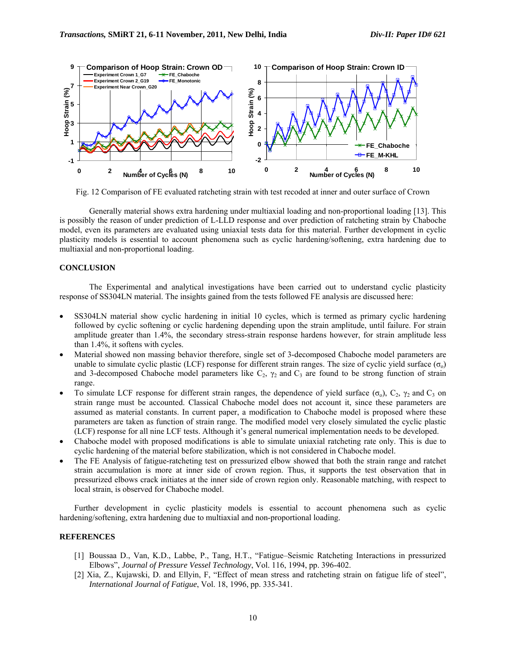

Fig. 12 Comparison of FE evaluated ratcheting strain with test recoded at inner and outer surface of Crown

Generally material shows extra hardening under multiaxial loading and non-proportional loading [13]. This is possibly the reason of under prediction of L-LLD response and over prediction of ratcheting strain by Chaboche model, even its parameters are evaluated using uniaxial tests data for this material. Further development in cyclic plasticity models is essential to account phenomena such as cyclic hardening/softening, extra hardening due to multiaxial and non-proportional loading.

## **CONCLUSION**

The Experimental and analytical investigations have been carried out to understand cyclic plasticity response of SS304LN material. The insights gained from the tests followed FE analysis are discussed here:

- SS304LN material show cyclic hardening in initial 10 cycles, which is termed as primary cyclic hardening followed by cyclic softening or cyclic hardening depending upon the strain amplitude, until failure. For strain amplitude greater than 1.4%, the secondary stress-strain response hardens however, for strain amplitude less than 1.4%, it softens with cycles.
- Material showed non massing behavior therefore, single set of 3-decomposed Chaboche model parameters are unable to simulate cyclic plastic (LCF) response for different strain ranges. The size of cyclic yield surface ( $\sigma_0$ ) and 3-decomposed Chaboche model parameters like  $C_2$ ,  $\gamma_2$  and  $C_3$  are found to be strong function of strain range.
- To simulate LCF response for different strain ranges, the dependence of yield surface (σ<sub>o</sub>), C<sub>2</sub>,  $γ_2$  and C<sub>3</sub> on strain range must be accounted. Classical Chaboche model does not account it, since these parameters are assumed as material constants. In current paper, a modification to Chaboche model is proposed where these parameters are taken as function of strain range. The modified model very closely simulated the cyclic plastic (LCF) response for all nine LCF tests. Although it's general numerical implementation needs to be developed.
- Chaboche model with proposed modifications is able to simulate uniaxial ratcheting rate only. This is due to cyclic hardening of the material before stabilization, which is not considered in Chaboche model.
- The FE Analysis of fatigue-ratcheting test on pressurized elbow showed that both the strain range and ratchet strain accumulation is more at inner side of crown region. Thus, it supports the test observation that in pressurized elbows crack initiates at the inner side of crown region only. Reasonable matching, with respect to local strain, is observed for Chaboche model.

Further development in cyclic plasticity models is essential to account phenomena such as cyclic hardening/softening, extra hardening due to multiaxial and non-proportional loading.

# **REFERENCES**

- [1] Boussaa D., Van, K.D., Labbe, P., Tang, H.T., "Fatigue–Seismic Ratcheting Interactions in pressurized Elbows", *Journal of Pressure Vessel Technology*, Vol. 116, 1994, pp. 396-402.
- [2] Xia, Z., Kujawski, D. and Ellyin, F, "Effect of mean stress and ratcheting strain on fatigue life of steel", *International Journal of Fatigue*, Vol. 18, 1996, pp. 335-341.